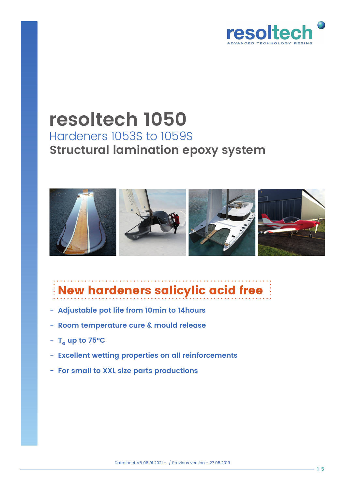

# **resoltech 1050** Hardeners 1053S to 1059S **Structural lamination epoxy system**



# New hardeners salicylic acid free

- **Adjustable pot life from 10min to 14hours**
- **Room temperature cure & mould release**
- $T_c$  up to 75°C
- **Excellent wetting properties on all reinforcements**
- **For small to XXL size parts productions**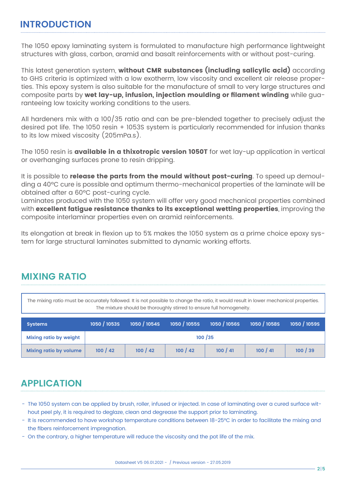#### **INTRODUCTION**

The 1050 epoxy laminating system is formulated to manufacture high performance lightweight structures with glass, carbon, aramid and basalt reinforcements with or without post-curing.

This latest generation system, without CMR substances (including salicylic acid) according to GHS criteria is optimized with a low exotherm, low viscosity and excellent air release properties. This epoxy system is also suitable for the manufacture of small to very large structures and composite parts by wet lay-up, infusion, injection moulding or filament winding while guaranteeing low toxicity working conditions to the users.

All hardeners mix with a 100/35 ratio and can be pre-blended together to precisely adjust the desired pot life. The 1050 resin + 1053S system is particularly recommended for infusion thanks to its low mixed viscosity (205mPa.s).

The 1050 resin is **available in a thixotropic version 1050T** for wet lay-up application in vertical or overhanging surfaces prone to resin dripping.

It is possible to release the parts from the mould without post-curing. To speed up demoulding a 40ºC cure is possible and optimum thermo-mechanical properties of the laminate will be obtained after a 60ºC post-curing cycle.

Laminates produced with the 1050 system will offer very good mechanical properties combined with excellent fatigue resistance thanks to its exceptional wetting properties, improving the composite interlaminar properties even on aramid reinforcements.

Its elongation at break in flexion up to 5% makes the 1050 system as a prime choice epoxy system for large structural laminates submitted to dynamic working efforts.

# **MIXING RATIO**

The mixing ratio must be accurately followed. It is not possible to change the ratio, it would result in lower mechanical properties. The mixture should be thoroughly stirred to ensure full homogeneity.

| <b>Systems</b>                | 1050 / 1053S | 1050/1054S | 1050/1055S | 1050/1056S | 1050/1058S | 1050/1059S |  |  |
|-------------------------------|--------------|------------|------------|------------|------------|------------|--|--|
| <b>Mixing ratio by weight</b> | 100/35       |            |            |            |            |            |  |  |
| <b>Mixing ratio by volume</b> | 100 / 42     | 100 / 42   | 100/42     | 100/41     | 100/41     | 100/39     |  |  |

# **APPLICATION**

- The 1050 system can be applied by brush, roller, infused or injected. In case of laminating over a cured surface without peel ply, it is required to deglaze, clean and degrease the support prior to laminating.
- It is recommended to have workshop temperature conditions between 18-25°C in order to facilitate the mixing and the fibers reinforcement impregnation.
- On the contrary, a higher temperature will reduce the viscosity and the pot life of the mix.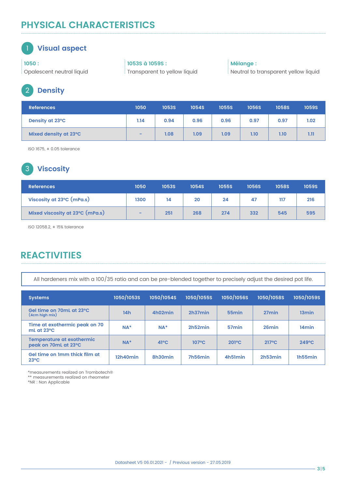# **PHYSICAL CHARACTERISTICS**

#### 1 **Visual aspect**

**1050 :** Opalescent neutral liquid **1053S à 1059S :** Transparent to yellow liquid **Mélange :** Neutral to transparent yellow liquid

## 2 **Density**

| <b>References</b>     | 1050 | <b>1053S</b> | <b>1054S</b> | <b>1055S</b> | <b>1056S</b> | <b>1058S</b> | <b>1059S</b> |
|-----------------------|------|--------------|--------------|--------------|--------------|--------------|--------------|
| Density at 23°C       | 1.14 | 0.94         | 0.96         | 0.96         | 0.97         | 0.97         | 1.02         |
| Mixed density at 23°C | $-$  | 1.08         | 1.09         | 1.09         | 1.10         | 1.10         | 1.11         |

ISO 1675, ± 0.05 tolerance

## 3 **Viscosity**

| <b>References</b>               | 1050 | <b>1053S</b> | <b>1054S</b> | <b>1055S</b> | <b>1056S</b> | <b>1058S</b> | <b>1059S</b> |
|---------------------------------|------|--------------|--------------|--------------|--------------|--------------|--------------|
| Viscosity at 23°C (mPa.s)       | 1300 | 14           | 20           | 24           | 47           | 117          | 216          |
| Mixed viscosity at 23°C (mPa.s) | -    | 251          | 268          | 274          | 332          | 545          | 595          |

ISO 12058.2, ± 15% tolerance

# **REACTIVITIES**

All hardeners mix with a 100/35 ratio and can be pre-blended together to precisely adjust the desired pot life.

| <b>Systems</b>                                           | <b>1050/1053S</b> | 1050/1054S     | <b>1050/1055S</b> | <b>1050/1056S</b> | <b>1050/1058S</b> | 1050/1059S        |
|----------------------------------------------------------|-------------------|----------------|-------------------|-------------------|-------------------|-------------------|
| Gel time on 70mL at 23 °C<br>(4cm high mix)              | 14h               | 4h02min        | 2h37min           | 55 <sub>min</sub> | 27 <sub>min</sub> | 13 <sub>min</sub> |
| Time at exothermic peak on 70<br>mL at 23°C              | $NA*$             | $NA*$          | 2h52min           | 57 <sub>min</sub> | 26 <sub>min</sub> | 14 <sub>min</sub> |
| <b>Temperature at exothermic</b><br>peak on 70mL at 23°C | $NA*$             | $41^{\circ}$ C | $107^{\circ}$ C   | $201^{\circ}C$    | 217°C             | $249^{\circ}C$    |
| Gel time on 1mm thick film at<br>$23^{\circ}$ C          | 12h40min          | 8h30min        | 7h56min           | 4h51min           | 2h53min           | 1h55min           |

\*measurements realized on Trombotech®

\*\* measurements realized on rheometer

\*NR : Non Applicable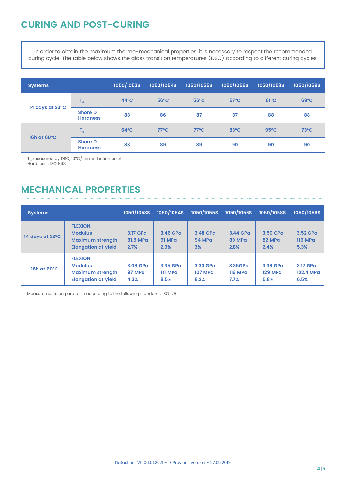In order to obtain the maximum thermo-mechanical properties, it is necessary to respect the recommended curing cycle. The table below shows the glass transition temperatures (DSC) according to different curing cycles.

| <b>Systems</b>  |                                   | 1050/1053S     | 1050/1054S     | 1050/1055S     | 1050/1056S     | 1050/1058S     | 1050/1059S     |
|-----------------|-----------------------------------|----------------|----------------|----------------|----------------|----------------|----------------|
| 14 days at 23°C | $T_{\rm G}$                       | $44^{\circ}$ C | $56^{\circ}$ C | $56^{\circ}$ C | $57^{\circ}$ C | $61^{\circ}$ C | $69^{\circ}C$  |
|                 | <b>Shore D</b><br><b>Hardness</b> | 88             | 86             | 87             | 87             | 88             | 88             |
| 16h at 60°C     | $T_{\rm G}$                       | $64^{\circ}$ C | $77^{\circ}$ C | $77^{\circ}$ C | 83°C           | $95^{\circ}$ C | $73^{\circ}$ C |
|                 | <b>Shore D</b><br><b>Hardness</b> | 88             | 89             | 89             | 90             | 90             | 90             |

T<sub>e</sub> measured by DSC, 10°C/min, inflection point<br>Hardness : ISO 868

### **MECHANICAL PROPERTIES**

| <b>Systems</b>  |                                                                                           | 1050/1053S                        | 1050/1054S                        | <b>1050/1055S</b>                  | 1050/1056S                        | <b>1050/1058S</b>                  | 1050/1059S                         |
|-----------------|-------------------------------------------------------------------------------------------|-----------------------------------|-----------------------------------|------------------------------------|-----------------------------------|------------------------------------|------------------------------------|
| 14 days at 23°C | <b>FLEXION</b><br><b>Modulus</b><br><b>Maximum strength</b><br><b>Elongation at yield</b> | 3.17 GPa<br>81.5 MPa<br>2.7%      | 3.46 GPa<br><b>91 MPa</b><br>2.9% | 3.48 GPa<br>94 MPa<br>3%           | 3.44 GPa<br>89 MPa<br>2.8%        | 3.50 GPa<br>82 MPa<br>2.4%         | 3.52 GPa<br><b>116 MPa</b><br>5.3% |
| 16h at 60°C     | <b>FLEXION</b><br><b>Modulus</b><br><b>Maximum strength</b><br><b>Elongation at yield</b> | 3.08 GPa<br><b>97 MPa</b><br>4.3% | 3.35 GPa<br>111 MPa<br>8.5%       | 3.30 GPa<br><b>107 MPa</b><br>8.2% | 3.35GPa<br><b>116 MPa</b><br>7.7% | 3.36 GPa<br><b>129 MPa</b><br>5.8% | 3.17 GPa<br>122.4 MPa<br>6.5%      |

Measurements on pure resin according to the following standard : ISO 178